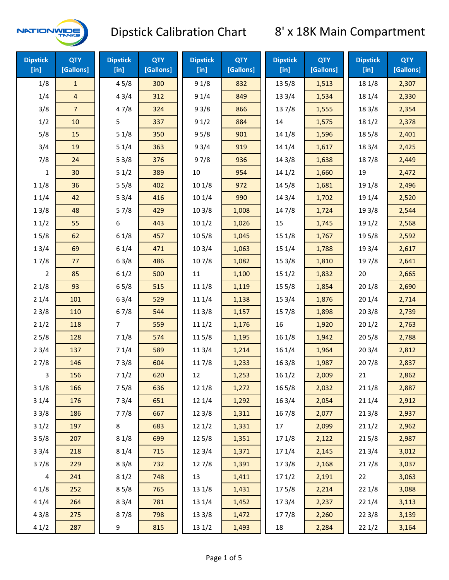

| <b>Dipstick</b><br>$[$ in] | <b>QTY</b><br>[Gallons] | <b>Dipstick</b><br>[in] | <b>QTY</b><br>[Gallons] | <b>Dipstick</b><br>[in] | <b>QTY</b><br>[Gallons] | <b>Dipstick</b><br>$[$ in] | <b>QTY</b><br>[Gallons] | <b>Dipstick</b><br>[in] | <b>QTY</b><br>[Gallons] |
|----------------------------|-------------------------|-------------------------|-------------------------|-------------------------|-------------------------|----------------------------|-------------------------|-------------------------|-------------------------|
| 1/8                        | $\mathbf{1}$            | 45/8                    | 300                     | 91/8                    | 832                     | 135/8                      | 1,513                   | 18 1/8                  | 2,307                   |
| 1/4                        | 4                       | 43/4                    | 312                     | 91/4                    | 849                     | 133/4                      | 1,534                   | 18 1/4                  | 2,330                   |
| 3/8                        | $\overline{7}$          | 47/8                    | 324                     | 93/8                    | 866                     | 137/8                      | 1,555                   | 18 3/8                  | 2,354                   |
| 1/2                        | 10                      | 5                       | 337                     | 91/2                    | 884                     | 14                         | 1,575                   | 18 1/2                  | 2,378                   |
| 5/8                        | 15                      | 51/8                    | 350                     | 95/8                    | 901                     | 14 1/8                     | 1,596                   | 185/8                   | 2,401                   |
| 3/4                        | 19                      | 51/4                    | 363                     | 93/4                    | 919                     | 14 1/4                     | 1,617                   | 18 3/4                  | 2,425                   |
| 7/8                        | 24                      | 53/8                    | 376                     | 97/8                    | 936                     | 14 3/8                     | 1,638                   | 187/8                   | 2,449                   |
| $\mathbf{1}$               | 30                      | 51/2                    | 389                     | $10\,$                  | 954                     | 141/2                      | 1,660                   | 19                      | 2,472                   |
| 11/8                       | 36                      | 55/8                    | 402                     | 10 1/8                  | 972                     | 145/8                      | 1,681                   | 19 1/8                  | 2,496                   |
| 11/4                       | 42                      | 53/4                    | 416                     | 10 1/4                  | 990                     | 14 3/4                     | 1,702                   | 19 1/4                  | 2,520                   |
| 13/8                       | 48                      | 57/8                    | 429                     | 103/8                   | 1,008                   | 147/8                      | 1,724                   | 19 3/8                  | 2,544                   |
| 11/2                       | 55                      | 6                       | 443                     | 101/2                   | 1,026                   | 15                         | 1,745                   | 19 1/2                  | 2,568                   |
| 15/8                       | 62                      | 61/8                    | 457                     | 10 <sub>5</sub> /8      | 1,045                   | 15 1/8                     | 1,767                   | 19 5/8                  | 2,592                   |
| 13/4                       | 69                      | 61/4                    | 471                     | 103/4                   | 1,063                   | 151/4                      | 1,788                   | 19 3/4                  | 2,617                   |
| 17/8                       | 77                      | 63/8                    | 486                     | 107/8                   | 1,082                   | 15 3/8                     | 1,810                   | 197/8                   | 2,641                   |
| $\overline{2}$             | 85                      | 61/2                    | 500                     | 11                      | 1,100                   | 151/2                      | 1,832                   | 20                      | 2,665                   |
| 21/8                       | 93                      | 65/8                    | 515                     | 11 1/8                  | 1,119                   | 15 5/8                     | 1,854                   | 201/8                   | 2,690                   |
| 21/4                       | 101                     | 63/4                    | 529                     | 11 1/4                  | 1,138                   | 153/4                      | 1,876                   | 201/4                   | 2,714                   |
| 23/8                       | 110                     | 67/8                    | 544                     | 11 3/8                  | 1,157                   | 15 7/8                     | 1,898                   | 203/8                   | 2,739                   |
| 21/2                       | 118                     | $\overline{7}$          | 559                     | 111/2                   | 1,176                   | 16                         | 1,920                   | 201/2                   | 2,763                   |
| 25/8                       | 128                     | 71/8                    | 574                     | 115/8                   | 1,195                   | 161/8                      | 1,942                   | 205/8                   | 2,788                   |
| 23/4                       | 137                     | 71/4                    | 589                     | 11 3/4                  | 1,214                   | 16 1/4                     | 1,964                   | 203/4                   | 2,812                   |
| 27/8                       | 146                     | 73/8                    | 604                     | 117/8                   | 1,233                   | 163/8                      | 1,987                   | 207/8                   | 2,837                   |
| 3                          | 156                     | 71/2                    | 620                     | 12                      | 1,253                   | 161/2                      | 2,009                   | 21                      | 2,862                   |
| 31/8                       | 166                     | 75/8                    | 636                     | 12 1/8                  | 1,272                   | 16 5/8                     | 2,032                   | 211/8                   | 2,887                   |
| 31/4                       | 176                     | 73/4                    | 651                     | 12 1/4                  | 1,292                   | 163/4                      | 2,054                   | 211/4                   | 2,912                   |
| 33/8                       | 186                     | 77/8                    | 667                     | 12 3/8                  | 1,311                   | 16 7/8                     | 2,077                   | 213/8                   | 2,937                   |
| 31/2                       | 197                     | 8                       | 683                     | 121/2                   | 1,331                   | 17                         | 2,099                   | 211/2                   | 2,962                   |
| 35/8                       | 207                     | 81/8                    | 699                     | 125/8                   | 1,351                   | 17 1/8                     | 2,122                   | 215/8                   | 2,987                   |
| 33/4                       | 218                     | 81/4                    | 715                     | 123/4                   | 1,371                   | 17 1/4                     | 2,145                   | 213/4                   | 3,012                   |
| 37/8                       | 229                     | 83/8                    | 732                     | 127/8                   | 1,391                   | 173/8                      | 2,168                   | 217/8                   | 3,037                   |
| 4                          | 241                     | 81/2                    | 748                     | 13                      | 1,411                   | 171/2                      | 2,191                   | 22                      | 3,063                   |
| 41/8                       | 252                     | 85/8                    | 765                     | 13 1/8                  | 1,431                   | 175/8                      | 2,214                   | 22 1/8                  | 3,088                   |
| 41/4                       | 264                     | 83/4                    | 781                     | 13 1/4                  | 1,452                   | 17 3/4                     | 2,237                   | 221/4                   | 3,113                   |
| 43/8                       | 275                     | 87/8                    | 798                     | 13 3/8                  | 1,472                   | 177/8                      | 2,260                   | 223/8                   | 3,139                   |
| 41/2                       | 287                     | 9                       | 815                     | 13 1/2                  | 1,493                   | 18                         | 2,284                   | 221/2                   | 3,164                   |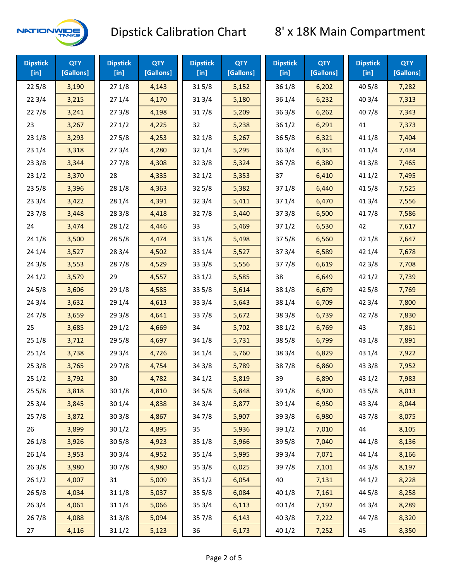

| <b>Dipstick</b><br>[in] | <b>QTY</b><br>[Gallons] | <b>Dipstick</b><br>$[$ in] | <b>QTY</b><br>[Gallons] | <b>Dipstick</b><br>$[$ in] | <b>QTY</b><br>[Gallons] | <b>Dipstick</b><br>$[$ in] | <b>QTY</b><br>[Gallons] | <b>Dipstick</b><br>$[$ in] | <b>QTY</b><br>[Gallons] |
|-------------------------|-------------------------|----------------------------|-------------------------|----------------------------|-------------------------|----------------------------|-------------------------|----------------------------|-------------------------|
| 225/8                   | 3,190                   | 271/8                      | 4,143                   | 315/8                      | 5,152                   | 36 1/8                     | 6,202                   | 40 5/8                     | 7,282                   |
| 223/4                   | 3,215                   | 271/4                      | 4,170                   | 31 3/4                     | 5,180                   | 36 1/4                     | 6,232                   | 403/4                      | 7,313                   |
| 227/8                   | 3,241                   | 273/8                      | 4,198                   | 317/8                      | 5,209                   | 363/8                      | 6,262                   | 407/8                      | 7,343                   |
| 23                      | 3,267                   | 271/2                      | 4,225                   | 32                         | 5,238                   | 361/2                      | 6,291                   | 41                         | 7,373                   |
| 231/8                   | 3,293                   | 275/8                      | 4,253                   | 321/8                      | 5,267                   | 365/8                      | 6,321                   | 41 1/8                     | 7,404                   |
| 23 1/4                  | 3,318                   | 273/4                      | 4,280                   | 32 1/4                     | 5,295                   | 363/4                      | 6,351                   | 41 1/4                     | 7,434                   |
| 233/8                   | 3,344                   | 277/8                      | 4,308                   | 323/8                      | 5,324                   | 36 7/8                     | 6,380                   | 41 3/8                     | 7,465                   |
| 231/2                   | 3,370                   | 28                         | 4,335                   | 321/2                      | 5,353                   | 37                         | 6,410                   | 411/2                      | 7,495                   |
| 235/8                   | 3,396                   | 28 1/8                     | 4,363                   | 325/8                      | 5,382                   | 37 1/8                     | 6,440                   | 41 5/8                     | 7,525                   |
| 233/4                   | 3,422                   | 28 1/4                     | 4,391                   | 323/4                      | 5,411                   | 37 1/4                     | 6,470                   | 41 3/4                     | 7,556                   |
| 237/8                   | 3,448                   | 28 3/8                     | 4,418                   | 327/8                      | 5,440                   | 373/8                      | 6,500                   | 417/8                      | 7,586                   |
| 24                      | 3,474                   | 281/2                      | 4,446                   | 33                         | 5,469                   | 371/2                      | 6,530                   | 42                         | 7,617                   |
| 24 1/8                  | 3,500                   | 28 5/8                     | 4,474                   | 33 1/8                     | 5,498                   | 375/8                      | 6,560                   | 42 1/8                     | 7,647                   |
| 24 1/4                  | 3,527                   | 283/4                      | 4,502                   | 33 1/4                     | 5,527                   | 373/4                      | 6,589                   | 42 1/4                     | 7,678                   |
| 243/8                   | 3,553                   | 287/8                      | 4,529                   | 33 3/8                     | 5,556                   | 377/8                      | 6,619                   | 42 3/8                     | 7,708                   |
| 241/2                   | 3,579                   | 29                         | 4,557                   | 331/2                      | 5,585                   | 38                         | 6,649                   | 421/2                      | 7,739                   |
| 245/8                   | 3,606                   | 29 1/8                     | 4,585                   | 33 5/8                     | 5,614                   | 38 1/8                     | 6,679                   | 42 5/8                     | 7,769                   |
| 243/4                   | 3,632                   | 29 1/4                     | 4,613                   | 33 3/4                     | 5,643                   | 38 1/4                     | 6,709                   | 42 3/4                     | 7,800                   |
| 24 7/8                  | 3,659                   | 29 3/8                     | 4,641                   | 337/8                      | 5,672                   | 38 3/8                     | 6,739                   | 42 7/8                     | 7,830                   |
| 25                      | 3,685                   | 291/2                      | 4,669                   | 34                         | 5,702                   | 38 1/2                     | 6,769                   | 43                         | 7,861                   |
| 251/8                   | 3,712                   | 29 5/8                     | 4,697                   | 34 1/8                     | 5,731                   | 38 5/8                     | 6,799                   | 43 1/8                     | 7,891                   |
| 251/4                   | 3,738                   | 29 3/4                     | 4,726                   | 34 1/4                     | 5,760                   | 38 3/4                     | 6,829                   | 43 1/4                     | 7,922                   |
| 253/8                   | 3,765                   | 297/8                      | 4,754                   | 343/8                      | 5,789                   | 387/8                      | 6,860                   | 43 3/8                     | 7,952                   |
| 251/2                   | 3,792                   | 30                         | 4,782                   | 34 1/2                     | 5,819                   | 39                         | 6,890                   | 431/2                      | 7,983                   |
| 255/8                   | 3,818                   | 30 1/8                     | 4,810                   | 34 5/8                     | 5,848                   | 39 1/8                     | 6,920                   | 43 5/8                     | 8,013                   |
| 253/4                   | 3,845                   | 30 1/4                     | 4,838                   | 34 3/4                     | 5,877                   | 39 1/4                     | 6,950                   | 43 3/4                     | 8,044                   |
| 257/8                   | 3,872                   | 303/8                      | 4,867                   | 347/8                      | 5,907                   | 39 3/8                     | 6,980                   | 437/8                      | 8,075                   |
| 26                      | 3,899                   | 301/2                      | 4,895                   | 35                         | 5,936                   | 39 1/2                     | 7,010                   | 44                         | 8,105                   |
| 26 1/8                  | 3,926                   | 305/8                      | 4,923                   | 35 1/8                     | 5,966                   | 39 5/8                     | 7,040                   | 44 1/8                     | 8,136                   |
| 261/4                   | 3,953                   | 30 3/4                     | 4,952                   | 35 1/4                     | 5,995                   | 39 3/4                     | 7,071                   | 44 1/4                     | 8,166                   |
| 263/8                   | 3,980                   | 307/8                      | 4,980                   | 35 3/8                     | 6,025                   | 397/8                      | 7,101                   | 44 3/8                     | 8,197                   |
| 261/2                   | 4,007                   | 31                         | 5,009                   | 351/2                      | 6,054                   | 40                         | 7,131                   | 44 1/2                     | 8,228                   |
| 265/8                   | 4,034                   | 31 1/8                     | 5,037                   | 355/8                      | 6,084                   | 40 1/8                     | 7,161                   | 44 5/8                     | 8,258                   |
| 263/4                   | 4,061                   | 31 1/4                     | 5,066                   | 35 3/4                     | 6,113                   | 40 1/4                     | 7,192                   | 44 3/4                     | 8,289                   |
| 267/8                   | 4,088                   | 31 3/8                     | 5,094                   | 357/8                      | 6,143                   | 40 3/8                     | 7,222                   | 447/8                      | 8,320                   |
| 27                      | 4,116                   | 311/2                      | 5,123                   | 36                         | 6,173                   | 40 1/2                     | 7,252                   | 45                         | 8,350                   |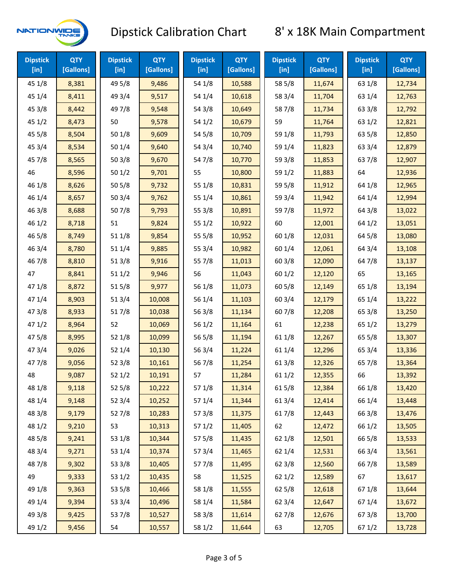

| <b>Dipstick</b><br>$[$ in] | <b>QTY</b><br>[Gallons] | <b>Dipstick</b><br>$[$ in] | <b>QTY</b><br>[Gallons] | <b>Dipstick</b><br>$[$ in] | <b>QTY</b><br>[Gallons] | <b>Dipstick</b><br>$[$ in] | <b>QTY</b><br>[Gallons] | <b>Dipstick</b><br>$[$ in] | <b>QTY</b><br>[Gallons] |
|----------------------------|-------------------------|----------------------------|-------------------------|----------------------------|-------------------------|----------------------------|-------------------------|----------------------------|-------------------------|
| 45 1/8                     | 8,381                   | 49 5/8                     | 9,486                   | 54 1/8                     | 10,588                  | 58 5/8                     | 11,674                  | 63 1/8                     | 12,734                  |
| 45 1/4                     | 8,411                   | 49 3/4                     | 9,517                   | 54 1/4                     | 10,618                  | 58 3/4                     | 11,704                  | 63 1/4                     | 12,763                  |
| 45 3/8                     | 8,442                   | 49 7/8                     | 9,548                   | 54 3/8                     | 10,649                  | 587/8                      | 11,734                  | 63 3/8                     | 12,792                  |
| 451/2                      | 8,473                   | 50                         | 9,578                   | 54 1/2                     | 10,679                  | 59                         | 11,764                  | 63 1/2                     | 12,821                  |
| 455/8                      | 8,504                   | 501/8                      | 9,609                   | 54 5/8                     | 10,709                  | 59 1/8                     | 11,793                  | 63 5/8                     | 12,850                  |
| 45 3/4                     | 8,534                   | 501/4                      | 9,640                   | 54 3/4                     | 10,740                  | 59 1/4                     | 11,823                  | 63 3/4                     | 12,879                  |
| 45 7/8                     | 8,565                   | 503/8                      | 9,670                   | 54 7/8                     | 10,770                  | 59 3/8                     | 11,853                  | 63 7/8                     | 12,907                  |
| 46                         | 8,596                   | 501/2                      | 9,701                   | 55                         | 10,800                  | 59 1/2                     | 11,883                  | 64                         | 12,936                  |
| 46 1/8                     | 8,626                   | 505/8                      | 9,732                   | 55 1/8                     | 10,831                  | 59 5/8                     | 11,912                  | 64 1/8                     | 12,965                  |
| 46 1/4                     | 8,657                   | 503/4                      | 9,762                   | 55 1/4                     | 10,861                  | 59 3/4                     | 11,942                  | 64 1/4                     | 12,994                  |
| 46 3/8                     | 8,688                   | 507/8                      | 9,793                   | 55 3/8                     | 10,891                  | 59 7/8                     | 11,972                  | 64 3/8                     | 13,022                  |
| 46 1/2                     | 8,718                   | 51                         | 9,824                   | 551/2                      | 10,922                  | 60                         | 12,001                  | 64 1/2                     | 13,051                  |
| 46 5/8                     | 8,749                   | 51 1/8                     | 9,854                   | 55 5/8                     | 10,952                  | 60 1/8                     | 12,031                  | 64 5/8                     | 13,080                  |
| 46 3/4                     | 8,780                   | 51 1/4                     | 9,885                   | 55 3/4                     | 10,982                  | 60 1/4                     | 12,061                  | 64 3/4                     | 13,108                  |
| 46 7/8                     | 8,810                   | 513/8                      | 9,916                   | 55 7/8                     | 11,013                  | 60 3/8                     | 12,090                  | 64 7/8                     | 13,137                  |
| 47                         | 8,841                   | 511/2                      | 9,946                   | 56                         | 11,043                  | 601/2                      | 12,120                  | 65                         | 13,165                  |
| 47 1/8                     | 8,872                   | 515/8                      | 9,977                   | 56 1/8                     | 11,073                  | 60 5/8                     | 12,149                  | 65 1/8                     | 13,194                  |
| 47 1/4                     | 8,903                   | 513/4                      | 10,008                  | 56 1/4                     | 11,103                  | 603/4                      | 12,179                  | 65 1/4                     | 13,222                  |
| 47 3/8                     | 8,933                   | 517/8                      | 10,038                  | 56 3/8                     | 11,134                  | 60 7/8                     | 12,208                  | 65 3/8                     | 13,250                  |
| 471/2                      | 8,964                   | 52                         | 10,069                  | 561/2                      | 11,164                  | 61                         | 12,238                  | 65 1/2                     | 13,279                  |
| 475/8                      | 8,995                   | 52 1/8                     | 10,099                  | 56 5/8                     | 11,194                  | 61 1/8                     | 12,267                  | 65 5/8                     | 13,307                  |
| 473/4                      | 9,026                   | 52 1/4                     | 10,130                  | 56 3/4                     | 11,224                  | 61 1/4                     | 12,296                  | 65 3/4                     | 13,336                  |
| 47 7/8                     | 9,056                   | 52 3/8                     | 10,161                  | 567/8                      | 11,254                  | 613/8                      | 12,326                  | 65 7/8                     | 13,364                  |
| 48                         | 9,087                   | 521/2                      | 10,191                  | 57                         | 11,284                  | 611/2                      | 12,355                  | 66                         | 13,392                  |
| 48 1/8                     | 9,118                   | 525/8                      | 10,222                  | 571/8                      | 11,314                  | 615/8                      | 12,384                  | 66 1/8                     | 13,420                  |
| 48 1/4                     | 9,148                   | 52 3/4                     | 10,252                  | 57 1/4                     | 11,344                  | 613/4                      | 12,414                  | 66 1/4                     | 13,448                  |
| 48 3/8                     | 9,179                   | 527/8                      | 10,283                  | 57 3/8                     | 11,375                  | 617/8                      | 12,443                  | 66 3/8                     | 13,476                  |
| 48 1/2                     | 9,210                   | 53                         | 10,313                  | 571/2                      | 11,405                  | 62                         | 12,472                  | 66 1/2                     | 13,505                  |
| 48 5/8                     | 9,241                   | 53 1/8                     | 10,344                  | 57 5/8                     | 11,435                  | 62 1/8                     | 12,501                  | 66 5/8                     | 13,533                  |
| 48 3/4                     | 9,271                   | 53 1/4                     | 10,374                  | 573/4                      | 11,465                  | 62 1/4                     | 12,531                  | 66 3/4                     | 13,561                  |
| 487/8                      | 9,302                   | 53 3/8                     | 10,405                  | 577/8                      | 11,495                  | 62 3/8                     | 12,560                  | 667/8                      | 13,589                  |
| 49                         | 9,333                   | 53 1/2                     | 10,435                  | 58                         | 11,525                  | 621/2                      | 12,589                  | 67                         | 13,617                  |
| 49 1/8                     | 9,363                   | 53 5/8                     | 10,466                  | 58 1/8                     | 11,555                  | 62 5/8                     | 12,618                  | 671/8                      | 13,644                  |
| 49 1/4                     | 9,394                   | 53 3/4                     | 10,496                  | 58 1/4                     | 11,584                  | 62 3/4                     | 12,647                  | 67 1/4                     | 13,672                  |
| 49 3/8                     | 9,425                   | 537/8                      | 10,527                  | 58 3/8                     | 11,614                  | 627/8                      | 12,676                  | 673/8                      | 13,700                  |
| 49 1/2                     | 9,456                   | 54                         | 10,557                  | 58 1/2                     | 11,644                  | 63                         | 12,705                  | 67 1/2                     | 13,728                  |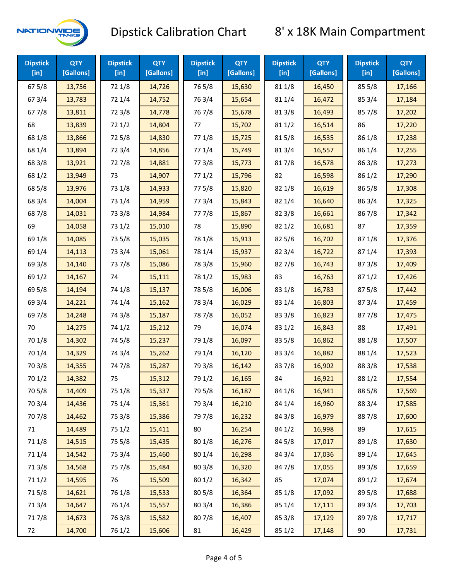

| <b>Dipstick</b><br>$[$ in] | <b>QTY</b><br>[Gallons] | <b>Dipstick</b><br>$[$ in] | <b>QTY</b><br>[Gallons] | <b>Dipstick</b><br>$[$ in] | <b>QTY</b><br>[Gallons] | <b>Dipstick</b><br>$[$ in] | <b>QTY</b><br>[Gallons] | <b>Dipstick</b><br>[in] | <b>QTY</b><br>[Gallons] |
|----------------------------|-------------------------|----------------------------|-------------------------|----------------------------|-------------------------|----------------------------|-------------------------|-------------------------|-------------------------|
| 67 5/8                     | 13,756                  | 72 1/8                     | 14,726                  | 765/8                      | 15,630                  | 81 1/8                     | 16,450                  | 85 5/8                  | 17,166                  |
| 67 3/4                     | 13,783                  | 72 1/4                     | 14,752                  | 763/4                      | 15,654                  | 81 1/4                     | 16,472                  | 85 3/4                  | 17,184                  |
| 67 7/8                     | 13,811                  | 72 3/8                     | 14,778                  | 76 7/8                     | 15,678                  | 81 3/8                     | 16,493                  | 857/8                   | 17,202                  |
| 68                         | 13,839                  | 721/2                      | 14,804                  | 77                         | 15,702                  | 811/2                      | 16,514                  | 86                      | 17,220                  |
| 68 1/8                     | 13,866                  | 725/8                      | 14,830                  | 77 1/8                     | 15,725                  | 815/8                      | 16,535                  | 86 1/8                  | 17,238                  |
| 68 1/4                     | 13,894                  | 72 3/4                     | 14,856                  | 77 1/4                     | 15,749                  | 813/4                      | 16,557                  | 86 1/4                  | 17,255                  |
| 68 3/8                     | 13,921                  | 727/8                      | 14,881                  | 77 3/8                     | 15,773                  | 817/8                      | 16,578                  | 86 3/8                  | 17,273                  |
| 68 1/2                     | 13,949                  | 73                         | 14,907                  | 771/2                      | 15,796                  | 82                         | 16,598                  | 86 1/2                  | 17,290                  |
| 68 5/8                     | 13,976                  | 73 1/8                     | 14,933                  | 775/8                      | 15,820                  | 82 1/8                     | 16,619                  | 86 5/8                  | 17,308                  |
| 68 3/4                     | 14,004                  | 73 1/4                     | 14,959                  | 773/4                      | 15,843                  | 82 1/4                     | 16,640                  | 86 3/4                  | 17,325                  |
| 687/8                      | 14,031                  | 73 3/8                     | 14,984                  | 777/8                      | 15,867                  | 823/8                      | 16,661                  | 867/8                   | 17,342                  |
| 69                         | 14,058                  | 73 1/2                     | 15,010                  | 78                         | 15,890                  | 821/2                      | 16,681                  | 87                      | 17,359                  |
| 69 1/8                     | 14,085                  | 73 5/8                     | 15,035                  | 78 1/8                     | 15,913                  | 825/8                      | 16,702                  | 871/8                   | 17,376                  |
| 69 1/4                     | 14,113                  | 73 3/4                     | 15,061                  | 78 1/4                     | 15,937                  | 82 3/4                     | 16,722                  | 871/4                   | 17,393                  |
| 69 3/8                     | 14,140                  | 737/8                      | 15,086                  | 78 3/8                     | 15,960                  | 827/8                      | 16,743                  | 87 3/8                  | 17,409                  |
| 69 1/2                     | 14,167                  | 74                         | 15,111                  | 78 1/2                     | 15,983                  | 83                         | 16,763                  | 871/2                   | 17,426                  |
| 69 5/8                     | 14,194                  | 74 1/8                     | 15,137                  | 78 5/8                     | 16,006                  | 83 1/8                     | 16,783                  | 875/8                   | 17,442                  |
| 69 3/4                     | 14,221                  | 74 1/4                     | 15,162                  | 78 3/4                     | 16,029                  | 83 1/4                     | 16,803                  | 87 3/4                  | 17,459                  |
| 697/8                      | 14,248                  | 74 3/8                     | 15,187                  | 787/8                      | 16,052                  | 83 3/8                     | 16,823                  | 877/8                   | 17,475                  |
| 70                         | 14,275                  | 74 1/2                     | 15,212                  | 79                         | 16,074                  | 83 1/2                     | 16,843                  | 88                      | 17,491                  |
| 70 1/8                     | 14,302                  | 74 5/8                     | 15,237                  | 79 1/8                     | 16,097                  | 83 5/8                     | 16,862                  | 88 1/8                  | 17,507                  |
| 70 1/4                     | 14,329                  | 74 3/4                     | 15,262                  | 79 1/4                     | 16,120                  | 83 3/4                     | 16,882                  | 88 1/4                  | 17,523                  |
| 70 3/8                     | 14,355                  | 747/8                      | 15,287                  | 79 3/8                     | 16,142                  | 837/8                      | 16,902                  | 88 3/8                  | 17,538                  |
| 70 1/2                     | 14,382                  | 75                         | 15,312                  | 79 1/2                     | 16,165                  | 84                         | 16,921                  | 88 1/2                  | 17,554                  |
| 70 5/8                     | 14,409                  | 75 1/8                     | 15,337                  | 79 5/8                     | 16,187                  | 84 1/8                     | 16,941                  | 88 5/8                  | 17,569                  |
| 70 3/4                     | 14,436                  | 75 1/4                     | 15,361                  | 79 3/4                     | 16,210                  | 84 1/4                     | 16,960                  | 88 3/4                  | 17,585                  |
| 70 7/8                     | 14,462                  | 75 3/8                     | 15,386                  | 79 7/8                     | 16,232                  | 84 3/8                     | 16,979                  | 887/8                   | 17,600                  |
| 71                         | 14,489                  | 75 1/2                     | 15,411                  | $80\,$                     | 16,254                  | 84 1/2                     | 16,998                  | 89                      | 17,615                  |
| 71 1/8                     | 14,515                  | 75 5/8                     | 15,435                  | 80 1/8                     | 16,276                  | 84 5/8                     | 17,017                  | 89 1/8                  | 17,630                  |
| 71 1/4                     | 14,542                  | 75 3/4                     | 15,460                  | 80 1/4                     | 16,298                  | 84 3/4                     | 17,036                  | 89 1/4                  | 17,645                  |
| 713/8                      | 14,568                  | 75 7/8                     | 15,484                  | 80 3/8                     | 16,320                  | 847/8                      | 17,055                  | 89 3/8                  | 17,659                  |
| 71 1/2                     | 14,595                  | 76                         | 15,509                  | 80 1/2                     | 16,342                  | 85                         | 17,074                  | 89 1/2                  | 17,674                  |
| 715/8                      | 14,621                  | 76 1/8                     | 15,533                  | 80 5/8                     | 16,364                  | 85 1/8                     | 17,092                  | 89 5/8                  | 17,688                  |
| 713/4                      | 14,647                  | 76 1/4                     | 15,557                  | 80 3/4                     | 16,386                  | 85 1/4                     | 17,111                  | 89 3/4                  | 17,703                  |
| 717/8                      | 14,673                  | 763/8                      | 15,582                  | 807/8                      | 16,407                  | 85 3/8                     | 17,129                  | 897/8                   | 17,717                  |
| 72                         | 14,700                  | 76 1/2                     | 15,606                  | 81                         | 16,429                  | 85 1/2                     | 17,148                  | 90                      | 17,731                  |